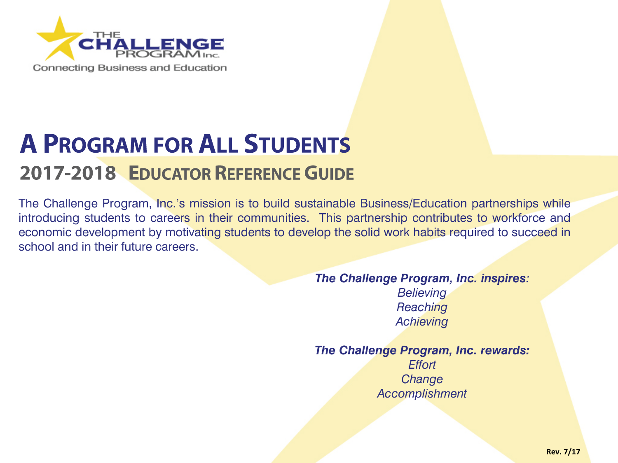

# **A PROGRAM FOR ALL STUDENTS 2017-2018 EDUCATOR REFERENCE GUIDE**

The Challenge Program, Inc.'s mission is to build sustainable Business/Education partnerships while introducing students to careers in their communities. This partnership contributes to workforce and economic development by motivating students to develop the solid work habits required to succeed in school and in their future careers.

> *The Challenge Program, Inc. inspires: Believing Reaching Achieving*

> *The Challenge Program, Inc. rewards: Effort Change Accomplishment*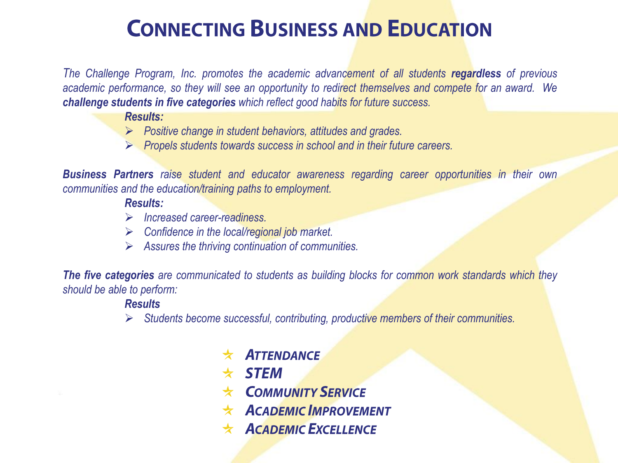## **CONNECTING BUSINESS AND EDUCATION**

*The Challenge Program, Inc. promotes the academic advancement of all students regardless of previous academic performance, so they will see an opportunity to redirect themselves and compete for an award. We challenge students in five categories which reflect good habits for future success.*

*Results:*

- *Positive change in student behaviors, attitudes and grades.*
- *Propels students towards success in school and in their future careers.*

*Business Partners raise student and educator awareness regarding career opportunities in their own communities and the education/training paths to employment.*

#### *Results:*

- *Increased career-readiness.*
- *Confidence in the local/regional job market.*
- *Assures the thriving continuation of communities.*

*The five categories are communicated to students as building blocks for common work standards which they should be able to perform:*

#### *Results*

- *Students become successful, contributing, productive members of their communities.*
	- **ATTENDANCE** ★
	- $\star$  STEM
	- **COMMUNITY SERVICE**  $\star$
	- **ACADEMIC IMPROVEMENT**
	- $\star$  ACADEMIC EXCELLENCE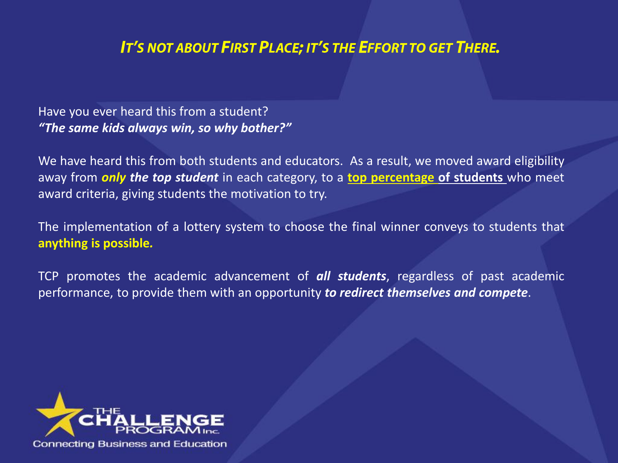### IT'S NOT ABOUT FIRST PLACE; IT'S THE EFFORT TO GET THERE.

Have you ever heard this from a student? *"The same kids always win, so why bother?"*

We have heard this from both students and educators. As a result, we moved award eligibility away from *only the top student* in each category, to a **top percentage of students** who meet award criteria, giving students the motivation to try.

The implementation of a lottery system to choose the final winner conveys to students that **anything is possible***.*

TCP promotes the academic advancement of *all students*, regardless of past academic performance, to provide them with an opportunity *to redirect themselves and compete*.

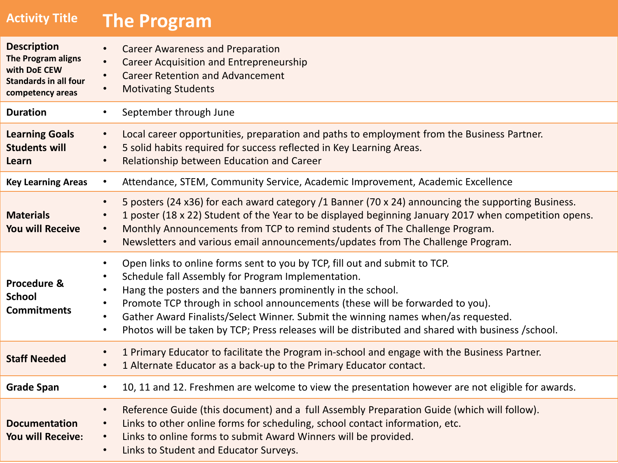| <b>Activity Title</b>                                                                                        | <b>The Program</b>                                                                                                                                                                                                                                                                                                                                                                                                                                                                                                             |
|--------------------------------------------------------------------------------------------------------------|--------------------------------------------------------------------------------------------------------------------------------------------------------------------------------------------------------------------------------------------------------------------------------------------------------------------------------------------------------------------------------------------------------------------------------------------------------------------------------------------------------------------------------|
| <b>Description</b><br>The Program aligns<br>with DoE CEW<br><b>Standards in all four</b><br>competency areas | <b>Career Awareness and Preparation</b><br>$\bullet$<br><b>Career Acquisition and Entrepreneurship</b><br><b>Career Retention and Advancement</b><br><b>Motivating Students</b><br>$\bullet$                                                                                                                                                                                                                                                                                                                                   |
| <b>Duration</b>                                                                                              | September through June<br>$\bullet$                                                                                                                                                                                                                                                                                                                                                                                                                                                                                            |
| <b>Learning Goals</b><br><b>Students will</b><br>Learn                                                       | Local career opportunities, preparation and paths to employment from the Business Partner.<br>$\bullet$<br>5 solid habits required for success reflected in Key Learning Areas.<br>$\bullet$<br>Relationship between Education and Career<br>$\bullet$                                                                                                                                                                                                                                                                         |
| <b>Key Learning Areas</b>                                                                                    | Attendance, STEM, Community Service, Academic Improvement, Academic Excellence<br>$\bullet$                                                                                                                                                                                                                                                                                                                                                                                                                                    |
| <b>Materials</b><br><b>You will Receive</b>                                                                  | 5 posters (24 x36) for each award category /1 Banner (70 x 24) announcing the supporting Business.<br>$\bullet$<br>1 poster (18 x 22) Student of the Year to be displayed beginning January 2017 when competition opens.<br>$\bullet$<br>Monthly Announcements from TCP to remind students of The Challenge Program.<br>$\bullet$<br>Newsletters and various email announcements/updates from The Challenge Program.<br>$\bullet$                                                                                              |
| Procedure &<br><b>School</b><br><b>Commitments</b>                                                           | Open links to online forms sent to you by TCP, fill out and submit to TCP.<br>$\bullet$<br>Schedule fall Assembly for Program Implementation.<br>Hang the posters and the banners prominently in the school.<br>Promote TCP through in school announcements (these will be forwarded to you).<br>$\bullet$<br>Gather Award Finalists/Select Winner. Submit the winning names when/as requested.<br>$\bullet$<br>Photos will be taken by TCP; Press releases will be distributed and shared with business /school.<br>$\bullet$ |
| <b>Staff Needed</b>                                                                                          | 1 Primary Educator to facilitate the Program in-school and engage with the Business Partner.<br>$\bullet$<br>1 Alternate Educator as a back-up to the Primary Educator contact.<br>$\bullet$                                                                                                                                                                                                                                                                                                                                   |
| <b>Grade Span</b>                                                                                            | 10, 11 and 12. Freshmen are welcome to view the presentation however are not eligible for awards.<br>$\bullet$                                                                                                                                                                                                                                                                                                                                                                                                                 |
| <b>Documentation</b><br><b>You will Receive:</b>                                                             | Reference Guide (this document) and a full Assembly Preparation Guide (which will follow).<br>$\bullet$<br>Links to other online forms for scheduling, school contact information, etc.<br>$\bullet$<br>Links to online forms to submit Award Winners will be provided.<br>$\bullet$<br>Links to Student and Educator Surveys.<br>$\bullet$                                                                                                                                                                                    |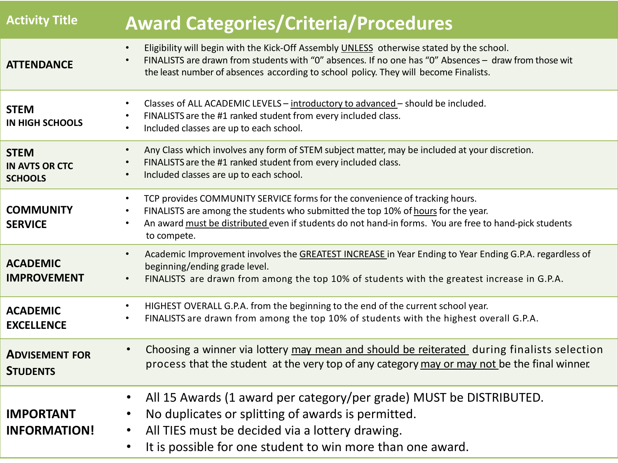| <b>Activity Title</b>                                  | <b>Award Categories/Criteria/Procedures</b>                                                                                                                                                                                                                                                                                      |
|--------------------------------------------------------|----------------------------------------------------------------------------------------------------------------------------------------------------------------------------------------------------------------------------------------------------------------------------------------------------------------------------------|
| <b>ATTENDANCE</b>                                      | Eligibility will begin with the Kick-Off Assembly UNLESS otherwise stated by the school.<br>$\bullet$<br>FINALISTS are drawn from students with "0" absences. If no one has "0" Absences - draw from those wit<br>the least number of absences according to school policy. They will become Finalists.                           |
| <b>STEM</b><br><b>IN HIGH SCHOOLS</b>                  | Classes of ALL ACADEMIC LEVELS - introductory to advanced - should be included.<br>$\bullet$<br>FINALISTS are the #1 ranked student from every included class.<br>$\bullet$<br>Included classes are up to each school.<br>$\bullet$                                                                                              |
| <b>STEM</b><br><b>IN AVTS OR CTC</b><br><b>SCHOOLS</b> | Any Class which involves any form of STEM subject matter, may be included at your discretion.<br>$\bullet$<br>FINALISTS are the #1 ranked student from every included class.<br>$\bullet$<br>Included classes are up to each school.<br>$\bullet$                                                                                |
| <b>COMMUNITY</b><br><b>SERVICE</b>                     | TCP provides COMMUNITY SERVICE forms for the convenience of tracking hours.<br>$\bullet$<br>FINALISTS are among the students who submitted the top 10% of hours for the year.<br>$\bullet$<br>An award must be distributed even if students do not hand-in forms. You are free to hand-pick students<br>$\bullet$<br>to compete. |
| <b>ACADEMIC</b><br><b>IMPROVEMENT</b>                  | Academic Improvement involves the GREATEST INCREASE in Year Ending to Year Ending G.P.A. regardless of<br>$\bullet$<br>beginning/ending grade level.<br>FINALISTS are drawn from among the top 10% of students with the greatest increase in G.P.A.<br>$\bullet$                                                                 |
| <b>ACADEMIC</b><br><b>EXCELLENCE</b>                   | HIGHEST OVERALL G.P.A. from the beginning to the end of the current school year.<br>$\bullet$<br>FINALISTS are drawn from among the top 10% of students with the highest overall G.P.A.<br>$\bullet$                                                                                                                             |
| <b>ADVISEMENT FOR</b><br><b>STUDENTS</b>               | Choosing a winner via lottery may mean and should be reiterated during finalists selection<br>$\bullet$<br>process that the student at the very top of any category may or may not be the final winner.                                                                                                                          |
| <b>IMPORTANT</b><br><b>INFORMATION!</b>                | All 15 Awards (1 award per category/per grade) MUST be DISTRIBUTED.<br>$\bullet$<br>No duplicates or splitting of awards is permitted.<br>$\bullet$<br>All TIES must be decided via a lottery drawing.<br>$\bullet$<br>It is possible for one student to win more than one award.<br>$\bullet$                                   |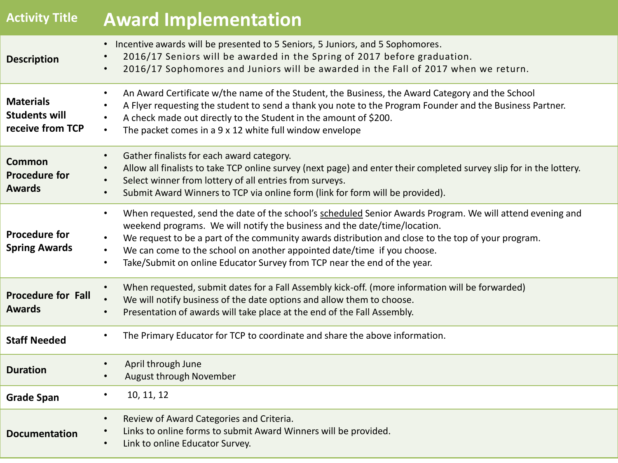| <b>Activity Title</b>                                        | <b>Award Implementation</b>                                                                                                                                                                                                                                                                                                                                                                                                                                                                             |
|--------------------------------------------------------------|---------------------------------------------------------------------------------------------------------------------------------------------------------------------------------------------------------------------------------------------------------------------------------------------------------------------------------------------------------------------------------------------------------------------------------------------------------------------------------------------------------|
| <b>Description</b>                                           | Incentive awards will be presented to 5 Seniors, 5 Juniors, and 5 Sophomores.<br>$\bullet$<br>2016/17 Seniors will be awarded in the Spring of 2017 before graduation.<br>2016/17 Sophomores and Juniors will be awarded in the Fall of 2017 when we return.                                                                                                                                                                                                                                            |
| <b>Materials</b><br><b>Students will</b><br>receive from TCP | An Award Certificate w/the name of the Student, the Business, the Award Category and the School<br>A Flyer requesting the student to send a thank you note to the Program Founder and the Business Partner.<br>A check made out directly to the Student in the amount of \$200.<br>$\bullet$<br>The packet comes in a 9 x 12 white full window envelope<br>$\bullet$                                                                                                                                    |
| <b>Common</b><br><b>Procedure for</b><br><b>Awards</b>       | Gather finalists for each award category.<br>$\bullet$<br>Allow all finalists to take TCP online survey (next page) and enter their completed survey slip for in the lottery.<br>Select winner from lottery of all entries from surveys.<br>$\bullet$<br>Submit Award Winners to TCP via online form (link for form will be provided).<br>$\bullet$                                                                                                                                                     |
| <b>Procedure for</b><br><b>Spring Awards</b>                 | When requested, send the date of the school's scheduled Senior Awards Program. We will attend evening and<br>$\bullet$<br>weekend programs. We will notify the business and the date/time/location.<br>We request to be a part of the community awards distribution and close to the top of your program.<br>$\bullet$<br>We can come to the school on another appointed date/time if you choose.<br>$\bullet$<br>Take/Submit on online Educator Survey from TCP near the end of the year.<br>$\bullet$ |
| <b>Procedure for Fall</b><br><b>Awards</b>                   | When requested, submit dates for a Fall Assembly kick-off. (more information will be forwarded)<br>$\bullet$<br>We will notify business of the date options and allow them to choose.<br>Presentation of awards will take place at the end of the Fall Assembly.<br>$\bullet$                                                                                                                                                                                                                           |
| <b>Staff Needed</b>                                          | The Primary Educator for TCP to coordinate and share the above information.<br>$\bullet$                                                                                                                                                                                                                                                                                                                                                                                                                |
| <b>Duration</b>                                              | April through June<br>August through November<br>$\bullet$                                                                                                                                                                                                                                                                                                                                                                                                                                              |
| <b>Grade Span</b>                                            | 10, 11, 12<br>٠                                                                                                                                                                                                                                                                                                                                                                                                                                                                                         |
| <b>Documentation</b>                                         | Review of Award Categories and Criteria.<br>$\bullet$<br>Links to online forms to submit Award Winners will be provided.<br>Link to online Educator Survey.<br>$\bullet$                                                                                                                                                                                                                                                                                                                                |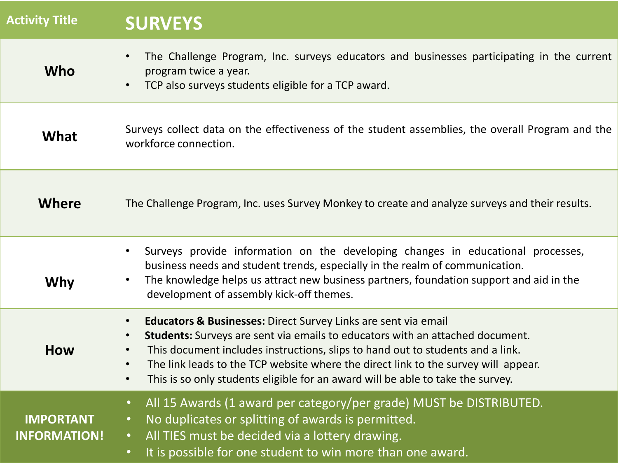| <b>Activity Title</b>                   | <b>SURVEYS</b>                                                                                                                                                                                                                                                                                                                                                                                                                                                                         |
|-----------------------------------------|----------------------------------------------------------------------------------------------------------------------------------------------------------------------------------------------------------------------------------------------------------------------------------------------------------------------------------------------------------------------------------------------------------------------------------------------------------------------------------------|
| Who                                     | The Challenge Program, Inc. surveys educators and businesses participating in the current<br>$\bullet$<br>program twice a year.<br>TCP also surveys students eligible for a TCP award.                                                                                                                                                                                                                                                                                                 |
| What                                    | Surveys collect data on the effectiveness of the student assemblies, the overall Program and the<br>workforce connection.                                                                                                                                                                                                                                                                                                                                                              |
| Where                                   | The Challenge Program, Inc. uses Survey Monkey to create and analyze surveys and their results.                                                                                                                                                                                                                                                                                                                                                                                        |
| Why                                     | Surveys provide information on the developing changes in educational processes,<br>$\bullet$<br>business needs and student trends, especially in the realm of communication.<br>The knowledge helps us attract new business partners, foundation support and aid in the<br>development of assembly kick-off themes.                                                                                                                                                                    |
| How                                     | <b>Educators &amp; Businesses:</b> Direct Survey Links are sent via email<br>$\bullet$<br>Students: Surveys are sent via emails to educators with an attached document.<br>$\bullet$<br>This document includes instructions, slips to hand out to students and a link.<br>$\bullet$<br>The link leads to the TCP website where the direct link to the survey will appear.<br>$\bullet$<br>This is so only students eligible for an award will be able to take the survey.<br>$\bullet$ |
| <b>IMPORTANT</b><br><b>INFORMATION!</b> | All 15 Awards (1 award per category/per grade) MUST be DISTRIBUTED.<br>$\bullet$<br>No duplicates or splitting of awards is permitted.<br>$\bullet$<br>All TIES must be decided via a lottery drawing.<br>$\bullet$ .<br>It is possible for one student to win more than one award.<br>$\bullet$                                                                                                                                                                                       |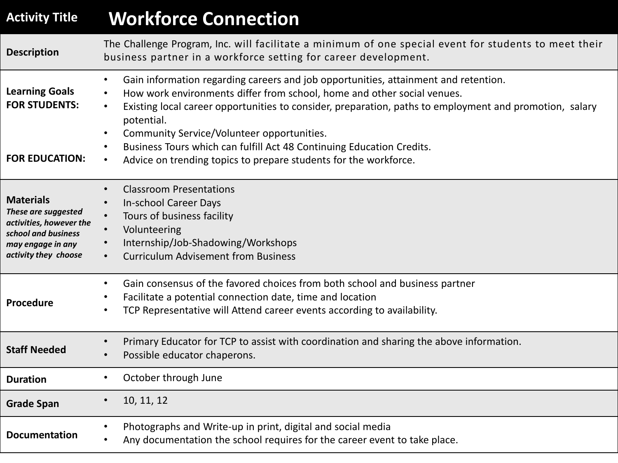### **Activity Title Workforce Connection**

| <b>Description</b>                                                                                                                     | The Challenge Program, Inc. will facilitate a minimum of one special event for students to meet their<br>business partner in a workforce setting for career development.                                                                                                                                                                                                                                                                                                                                     |
|----------------------------------------------------------------------------------------------------------------------------------------|--------------------------------------------------------------------------------------------------------------------------------------------------------------------------------------------------------------------------------------------------------------------------------------------------------------------------------------------------------------------------------------------------------------------------------------------------------------------------------------------------------------|
| <b>Learning Goals</b><br><b>FOR STUDENTS:</b><br><b>FOR EDUCATION:</b>                                                                 | Gain information regarding careers and job opportunities, attainment and retention.<br>$\bullet$<br>How work environments differ from school, home and other social venues.<br>Existing local career opportunities to consider, preparation, paths to employment and promotion, salary<br>$\bullet$<br>potential.<br>Community Service/Volunteer opportunities.<br>Business Tours which can fulfill Act 48 Continuing Education Credits.<br>Advice on trending topics to prepare students for the workforce. |
|                                                                                                                                        |                                                                                                                                                                                                                                                                                                                                                                                                                                                                                                              |
| <b>Materials</b><br>These are suggested<br>activities, however the<br>school and business<br>may engage in any<br>activity they choose | <b>Classroom Presentations</b><br><b>In-school Career Days</b><br>$\bullet$<br>Tours of business facility<br>Volunteering<br>Internship/Job-Shadowing/Workshops<br><b>Curriculum Advisement from Business</b>                                                                                                                                                                                                                                                                                                |
| Procedure                                                                                                                              | Gain consensus of the favored choices from both school and business partner<br>Facilitate a potential connection date, time and location<br>TCP Representative will Attend career events according to availability.                                                                                                                                                                                                                                                                                          |
| <b>Staff Needed</b>                                                                                                                    | Primary Educator for TCP to assist with coordination and sharing the above information.<br>Possible educator chaperons.                                                                                                                                                                                                                                                                                                                                                                                      |
| <b>Duration</b>                                                                                                                        | October through June                                                                                                                                                                                                                                                                                                                                                                                                                                                                                         |
| <b>Grade Span</b>                                                                                                                      | 10, 11, 12<br>$\bullet$                                                                                                                                                                                                                                                                                                                                                                                                                                                                                      |
| <b>Documentation</b>                                                                                                                   | Photographs and Write-up in print, digital and social media<br>Any documentation the school requires for the career event to take place.                                                                                                                                                                                                                                                                                                                                                                     |